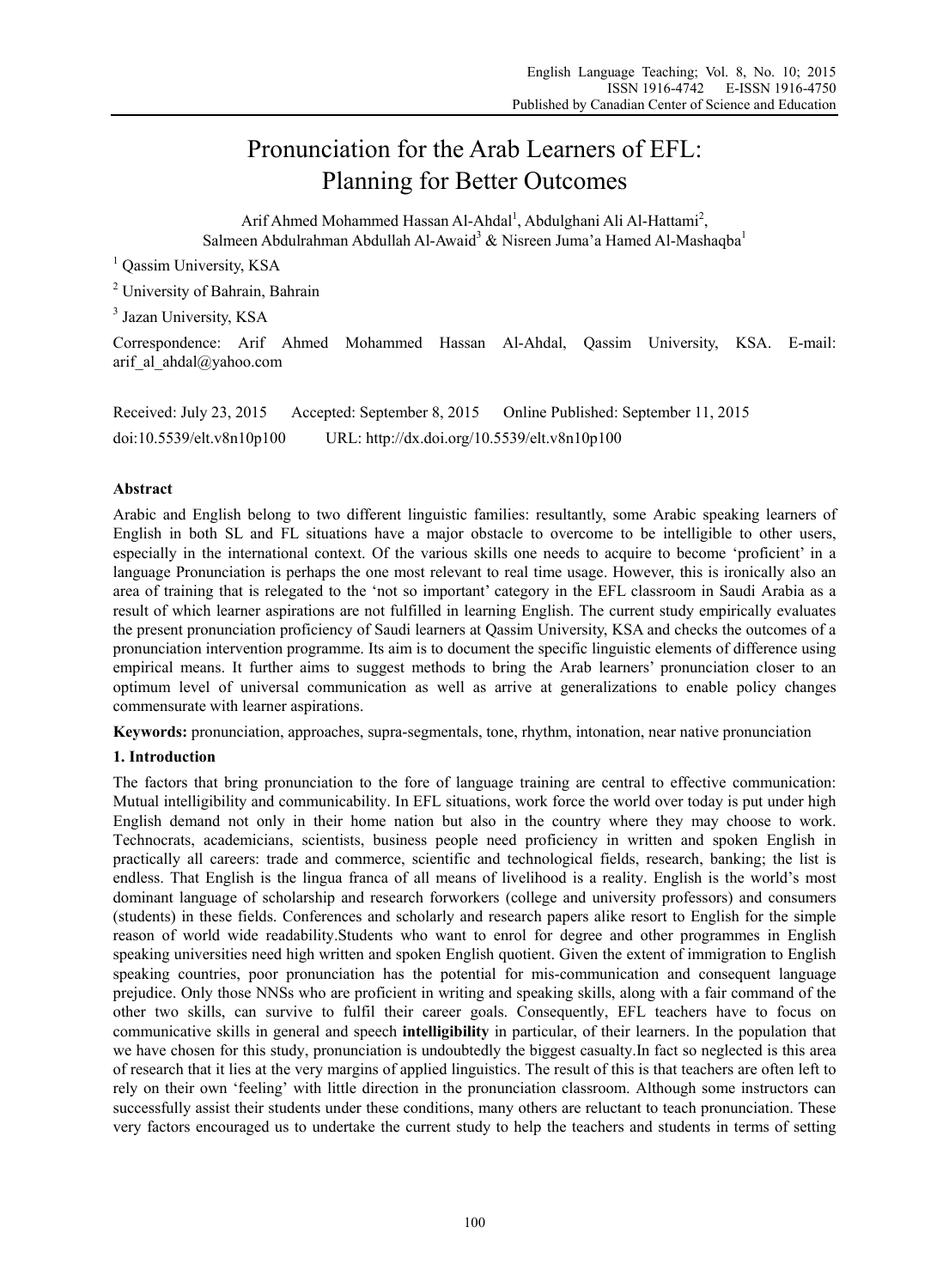# Pronunciation for the Arab Learners of EFL: Planning for Better Outcomes

Arif Ahmed Mohammed Hassan Al-Ahdal<sup>1</sup>, Abdulghani Ali Al-Hattami<sup>2</sup>, Salmeen Abdulrahman Abdullah Al-Awaid<sup>3</sup> & Nisreen Juma'a Hamed Al-Mashaqba<sup>1</sup>

<sup>1</sup> Qassim University, KSA

<sup>2</sup> University of Bahrain, Bahrain

<sup>3</sup> Jazan University, KSA

Correspondence: Arif Ahmed Mohammed Hassan Al-Ahdal, Qassim University, KSA. E-mail: arif al ahdal@yahoo.com

Received: July 23, 2015 Accepted: September 8, 2015 Online Published: September 11, 2015 doi:10.5539/elt.v8n10p100 URL: http://dx.doi.org/10.5539/elt.v8n10p100

## **Abstract**

Arabic and English belong to two different linguistic families: resultantly, some Arabic speaking learners of English in both SL and FL situations have a major obstacle to overcome to be intelligible to other users, especially in the international context. Of the various skills one needs to acquire to become 'proficient' in a language Pronunciation is perhaps the one most relevant to real time usage. However, this is ironically also an area of training that is relegated to the 'not so important' category in the EFL classroom in Saudi Arabia as a result of which learner aspirations are not fulfilled in learning English. The current study empirically evaluates the present pronunciation proficiency of Saudi learners at Qassim University, KSA and checks the outcomes of a pronunciation intervention programme. Its aim is to document the specific linguistic elements of difference using empirical means. It further aims to suggest methods to bring the Arab learners' pronunciation closer to an optimum level of universal communication as well as arrive at generalizations to enable policy changes commensurate with learner aspirations.

**Keywords:** pronunciation, approaches, supra-segmentals, tone, rhythm, intonation, near native pronunciation

## **1. Introduction**

The factors that bring pronunciation to the fore of language training are central to effective communication: Mutual intelligibility and communicability. In EFL situations, work force the world over today is put under high English demand not only in their home nation but also in the country where they may choose to work. Technocrats, academicians, scientists, business people need proficiency in written and spoken English in practically all careers: trade and commerce, scientific and technological fields, research, banking; the list is endless. That English is the lingua franca of all means of livelihood is a reality. English is the world's most dominant language of scholarship and research forworkers (college and university professors) and consumers (students) in these fields. Conferences and scholarly and research papers alike resort to English for the simple reason of world wide readability.Students who want to enrol for degree and other programmes in English speaking universities need high written and spoken English quotient. Given the extent of immigration to English speaking countries, poor pronunciation has the potential for mis-communication and consequent language prejudice. Only those NNSs who are proficient in writing and speaking skills, along with a fair command of the other two skills, can survive to fulfil their career goals. Consequently, EFL teachers have to focus on communicative skills in general and speech **intelligibility** in particular, of their learners. In the population that we have chosen for this study, pronunciation is undoubtedly the biggest casualty.In fact so neglected is this area of research that it lies at the very margins of applied linguistics. The result of this is that teachers are often left to rely on their own 'feeling' with little direction in the pronunciation classroom. Although some instructors can successfully assist their students under these conditions, many others are reluctant to teach pronunciation. These very factors encouraged us to undertake the current study to help the teachers and students in terms of setting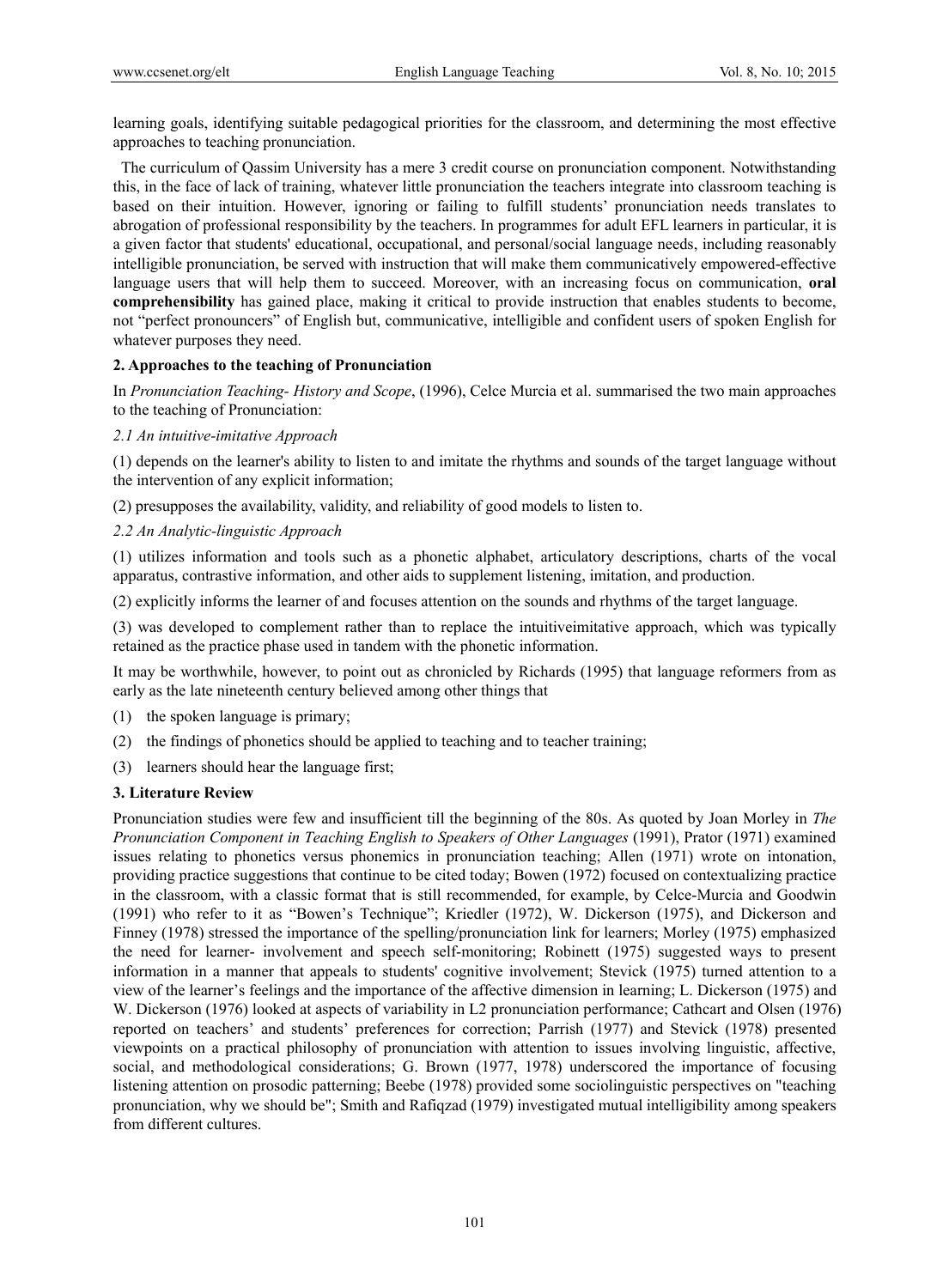learning goals, identifying suitable pedagogical priorities for the classroom, and determining the most effective approaches to teaching pronunciation.

 The curriculum of Qassim University has a mere 3 credit course on pronunciation component. Notwithstanding this, in the face of lack of training, whatever little pronunciation the teachers integrate into classroom teaching is based on their intuition. However, ignoring or failing to fulfill students' pronunciation needs translates to abrogation of professional responsibility by the teachers. In programmes for adult EFL learners in particular, it is a given factor that students' educational, occupational, and personal/social language needs, including reasonably intelligible pronunciation, be served with instruction that will make them communicatively empowered-effective language users that will help them to succeed. Moreover, with an increasing focus on communication, **oral comprehensibility** has gained place, making it critical to provide instruction that enables students to become, not "perfect pronouncers" of English but, communicative, intelligible and confident users of spoken English for whatever purposes they need.

## **2. Approaches to the teaching of Pronunciation**

In *Pronunciation Teaching- History and Scope*, (1996), Celce Murcia et al. summarised the two main approaches to the teaching of Pronunciation:

## *2.1 An intuitive-imitative Approach*

(1) depends on the learner's ability to listen to and imitate the rhythms and sounds of the target language without the intervention of any explicit information;

(2) presupposes the availability, validity, and reliability of good models to listen to.

## *2.2 An Analytic-linguistic Approach*

(1) utilizes information and tools such as a phonetic alphabet, articulatory descriptions, charts of the vocal apparatus, contrastive information, and other aids to supplement listening, imitation, and production.

(2) explicitly informs the learner of and focuses attention on the sounds and rhythms of the target language.

(3) was developed to complement rather than to replace the intuitiveimitative approach, which was typically retained as the practice phase used in tandem with the phonetic information.

It may be worthwhile, however, to point out as chronicled by Richards (1995) that language reformers from as early as the late nineteenth century believed among other things that

- (1) the spoken language is primary;
- (2) the findings of phonetics should be applied to teaching and to teacher training;
- (3) learners should hear the language first;

#### **3. Literature Review**

Pronunciation studies were few and insufficient till the beginning of the 80s. As quoted by Joan Morley in *The Pronunciation Component in Teaching English to Speakers of Other Languages* (1991), Prator (1971) examined issues relating to phonetics versus phonemics in pronunciation teaching; Allen (1971) wrote on intonation, providing practice suggestions that continue to be cited today; Bowen (1972) focused on contextualizing practice in the classroom, with a classic format that is still recommended, for example, by Celce-Murcia and Goodwin (1991) who refer to it as "Bowen's Technique"; Kriedler (1972), W. Dickerson (1975), and Dickerson and Finney (1978) stressed the importance of the spelling/pronunciation link for learners; Morley (1975) emphasized the need for learner- involvement and speech self-monitoring; Robinett (1975) suggested ways to present information in a manner that appeals to students' cognitive involvement; Stevick (1975) turned attention to a view of the learner's feelings and the importance of the affective dimension in learning; L. Dickerson (1975) and W. Dickerson (1976) looked at aspects of variability in L2 pronunciation performance; Cathcart and Olsen (1976) reported on teachers' and students' preferences for correction; Parrish (1977) and Stevick (1978) presented viewpoints on a practical philosophy of pronunciation with attention to issues involving linguistic, affective, social, and methodological considerations; G. Brown (1977, 1978) underscored the importance of focusing listening attention on prosodic patterning; Beebe (1978) provided some sociolinguistic perspectives on "teaching pronunciation, why we should be"; Smith and Rafiqzad (1979) investigated mutual intelligibility among speakers from different cultures.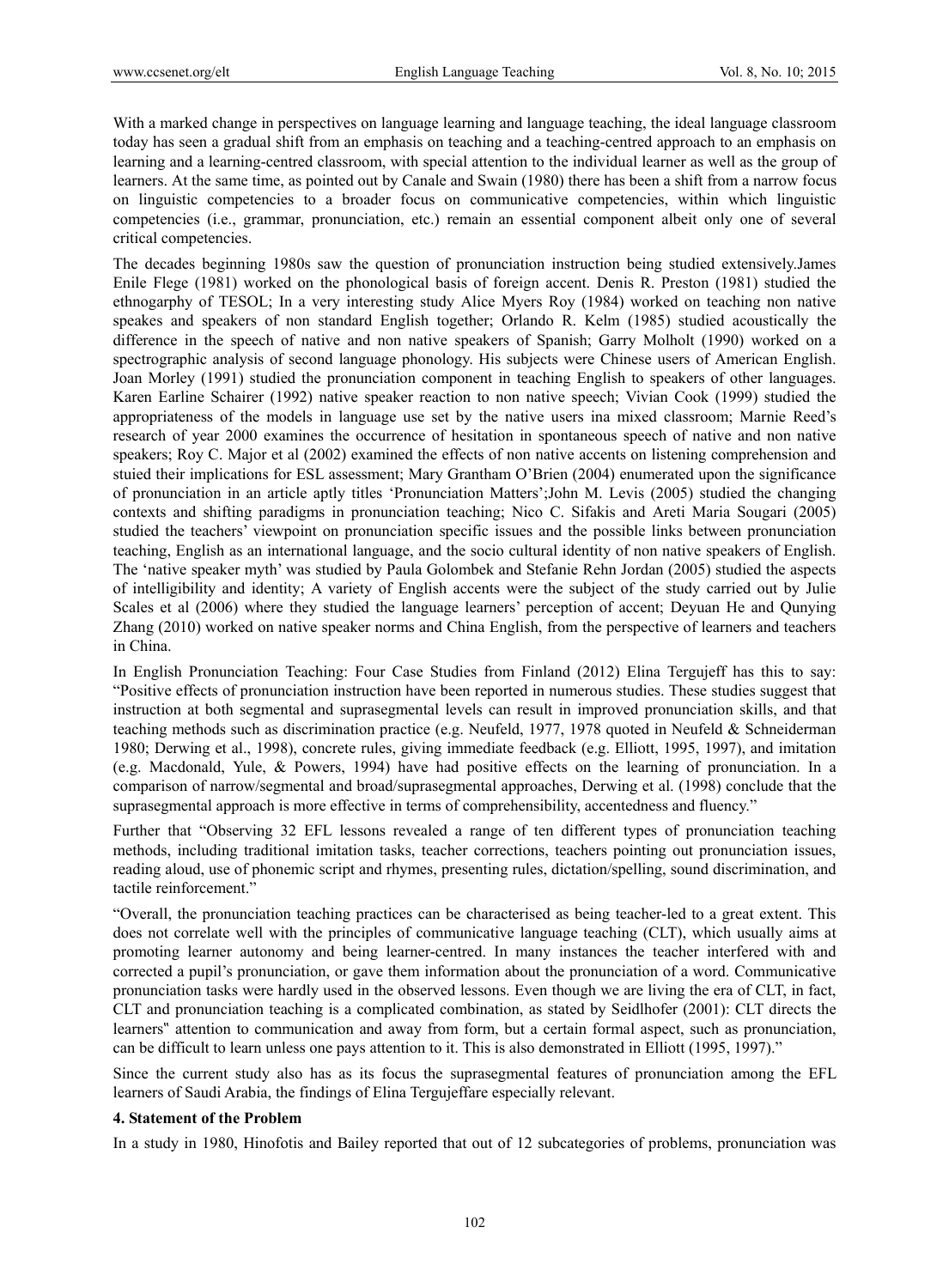With a marked change in perspectives on language learning and language teaching, the ideal language classroom today has seen a gradual shift from an emphasis on teaching and a teaching-centred approach to an emphasis on learning and a learning-centred classroom, with special attention to the individual learner as well as the group of learners. At the same time, as pointed out by Canale and Swain (1980) there has been a shift from a narrow focus on linguistic competencies to a broader focus on communicative competencies, within which linguistic competencies (i.e., grammar, pronunciation, etc.) remain an essential component albeit only one of several critical competencies.

The decades beginning 1980s saw the question of pronunciation instruction being studied extensively.James Enile Flege (1981) worked on the phonological basis of foreign accent. Denis R. Preston (1981) studied the ethnogarphy of TESOL; In a very interesting study Alice Myers Roy (1984) worked on teaching non native speakes and speakers of non standard English together; Orlando R. Kelm (1985) studied acoustically the difference in the speech of native and non native speakers of Spanish; Garry Molholt (1990) worked on a spectrographic analysis of second language phonology. His subjects were Chinese users of American English. Joan Morley (1991) studied the pronunciation component in teaching English to speakers of other languages. Karen Earline Schairer (1992) native speaker reaction to non native speech; Vivian Cook (1999) studied the appropriateness of the models in language use set by the native users ina mixed classroom; Marnie Reed's research of year 2000 examines the occurrence of hesitation in spontaneous speech of native and non native speakers; Roy C. Major et al (2002) examined the effects of non native accents on listening comprehension and stuied their implications for ESL assessment; Mary Grantham O'Brien (2004) enumerated upon the significance of pronunciation in an article aptly titles 'Pronunciation Matters';John M. Levis (2005) studied the changing contexts and shifting paradigms in pronunciation teaching; Nico C. Sifakis and Areti Maria Sougari (2005) studied the teachers' viewpoint on pronunciation specific issues and the possible links between pronunciation teaching, English as an international language, and the socio cultural identity of non native speakers of English. The 'native speaker myth' was studied by Paula Golombek and Stefanie Rehn Jordan (2005) studied the aspects of intelligibility and identity; A variety of English accents were the subject of the study carried out by Julie Scales et al (2006) where they studied the language learners' perception of accent; Deyuan He and Qunying Zhang (2010) worked on native speaker norms and China English, from the perspective of learners and teachers in China.

In English Pronunciation Teaching: Four Case Studies from Finland (2012) Elina Tergujeff has this to say: "Positive effects of pronunciation instruction have been reported in numerous studies. These studies suggest that instruction at both segmental and suprasegmental levels can result in improved pronunciation skills, and that teaching methods such as discrimination practice (e.g. Neufeld, 1977, 1978 quoted in Neufeld & Schneiderman 1980; Derwing et al., 1998), concrete rules, giving immediate feedback (e.g. Elliott, 1995, 1997), and imitation (e.g. Macdonald, Yule, & Powers, 1994) have had positive effects on the learning of pronunciation. In a comparison of narrow/segmental and broad/suprasegmental approaches, Derwing et al. (1998) conclude that the suprasegmental approach is more effective in terms of comprehensibility, accentedness and fluency."

Further that "Observing 32 EFL lessons revealed a range of ten different types of pronunciation teaching methods, including traditional imitation tasks, teacher corrections, teachers pointing out pronunciation issues, reading aloud, use of phonemic script and rhymes, presenting rules, dictation/spelling, sound discrimination, and tactile reinforcement."

"Overall, the pronunciation teaching practices can be characterised as being teacher-led to a great extent. This does not correlate well with the principles of communicative language teaching (CLT), which usually aims at promoting learner autonomy and being learner-centred. In many instances the teacher interfered with and corrected a pupil's pronunciation, or gave them information about the pronunciation of a word. Communicative pronunciation tasks were hardly used in the observed lessons. Even though we are living the era of CLT, in fact, CLT and pronunciation teaching is a complicated combination, as stated by Seidlhofer (2001): CLT directs the learners" attention to communication and away from form, but a certain formal aspect, such as pronunciation, can be difficult to learn unless one pays attention to it. This is also demonstrated in Elliott (1995, 1997)."

Since the current study also has as its focus the suprasegmental features of pronunciation among the EFL learners of Saudi Arabia, the findings of Elina Tergujeffare especially relevant.

## **4. Statement of the Problem**

In a study in 1980, Hinofotis and Bailey reported that out of 12 subcategories of problems, pronunciation was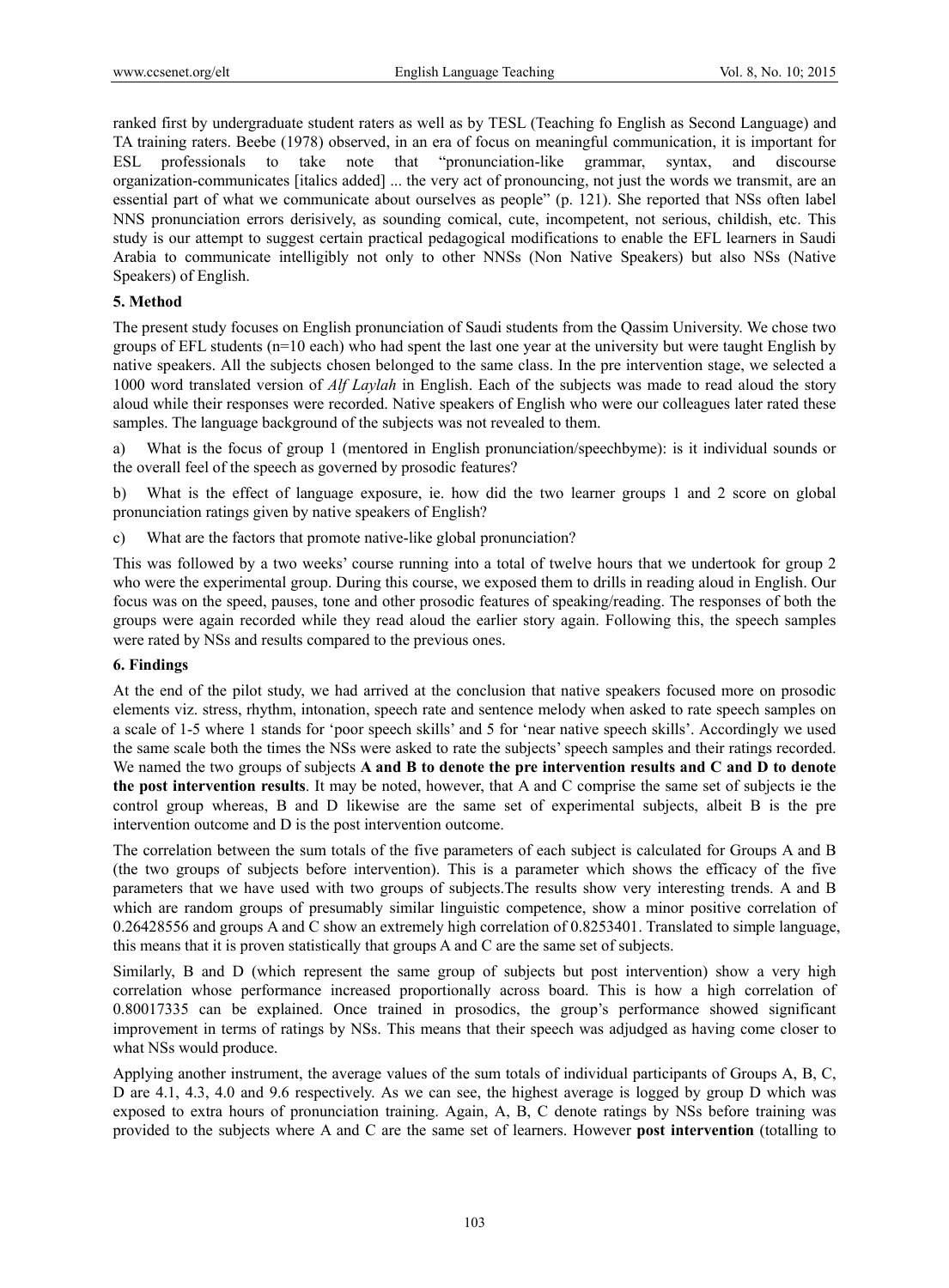ranked first by undergraduate student raters as well as by TESL (Teaching fo English as Second Language) and TA training raters. Beebe (1978) observed, in an era of focus on meaningful communication, it is important for ESL professionals to take note that "pronunciation-like grammar, syntax, and discourse organization-communicates [italics added] ... the very act of pronouncing, not just the words we transmit, are an essential part of what we communicate about ourselves as people" (p. 121). She reported that NSs often label NNS pronunciation errors derisively, as sounding comical, cute, incompetent, not serious, childish, etc. This study is our attempt to suggest certain practical pedagogical modifications to enable the EFL learners in Saudi Arabia to communicate intelligibly not only to other NNSs (Non Native Speakers) but also NSs (Native Speakers) of English.

## **5. Method**

The present study focuses on English pronunciation of Saudi students from the Qassim University. We chose two groups of EFL students (n=10 each) who had spent the last one year at the university but were taught English by native speakers. All the subjects chosen belonged to the same class. In the pre intervention stage, we selected a 1000 word translated version of *Alf Laylah* in English. Each of the subjects was made to read aloud the story aloud while their responses were recorded. Native speakers of English who were our colleagues later rated these samples. The language background of the subjects was not revealed to them.

a) What is the focus of group 1 (mentored in English pronunciation/speechbyme): is it individual sounds or the overall feel of the speech as governed by prosodic features?

b) What is the effect of language exposure, ie. how did the two learner groups 1 and 2 score on global pronunciation ratings given by native speakers of English?

c) What are the factors that promote native-like global pronunciation?

This was followed by a two weeks' course running into a total of twelve hours that we undertook for group 2 who were the experimental group. During this course, we exposed them to drills in reading aloud in English. Our focus was on the speed, pauses, tone and other prosodic features of speaking/reading. The responses of both the groups were again recorded while they read aloud the earlier story again. Following this, the speech samples were rated by NSs and results compared to the previous ones.

## **6. Findings**

At the end of the pilot study, we had arrived at the conclusion that native speakers focused more on prosodic elements viz. stress, rhythm, intonation, speech rate and sentence melody when asked to rate speech samples on a scale of 1-5 where 1 stands for 'poor speech skills' and 5 for 'near native speech skills'. Accordingly we used the same scale both the times the NSs were asked to rate the subjects' speech samples and their ratings recorded. We named the two groups of subjects **A and B to denote the pre intervention results and C and D to denote the post intervention results**. It may be noted, however, that A and C comprise the same set of subjects ie the control group whereas, B and D likewise are the same set of experimental subjects, albeit B is the pre intervention outcome and D is the post intervention outcome.

The correlation between the sum totals of the five parameters of each subject is calculated for Groups A and B (the two groups of subjects before intervention). This is a parameter which shows the efficacy of the five parameters that we have used with two groups of subjects.The results show very interesting trends. A and B which are random groups of presumably similar linguistic competence, show a minor positive correlation of 0.26428556 and groups A and C show an extremely high correlation of 0.8253401. Translated to simple language, this means that it is proven statistically that groups A and C are the same set of subjects.

Similarly, B and D (which represent the same group of subjects but post intervention) show a very high correlation whose performance increased proportionally across board. This is how a high correlation of 0.80017335 can be explained. Once trained in prosodics, the group's performance showed significant improvement in terms of ratings by NSs. This means that their speech was adjudged as having come closer to what NSs would produce.

Applying another instrument, the average values of the sum totals of individual participants of Groups A, B, C, D are 4.1, 4.3, 4.0 and 9.6 respectively. As we can see, the highest average is logged by group D which was exposed to extra hours of pronunciation training. Again, A, B, C denote ratings by NSs before training was provided to the subjects where A and C are the same set of learners. However **post intervention** (totalling to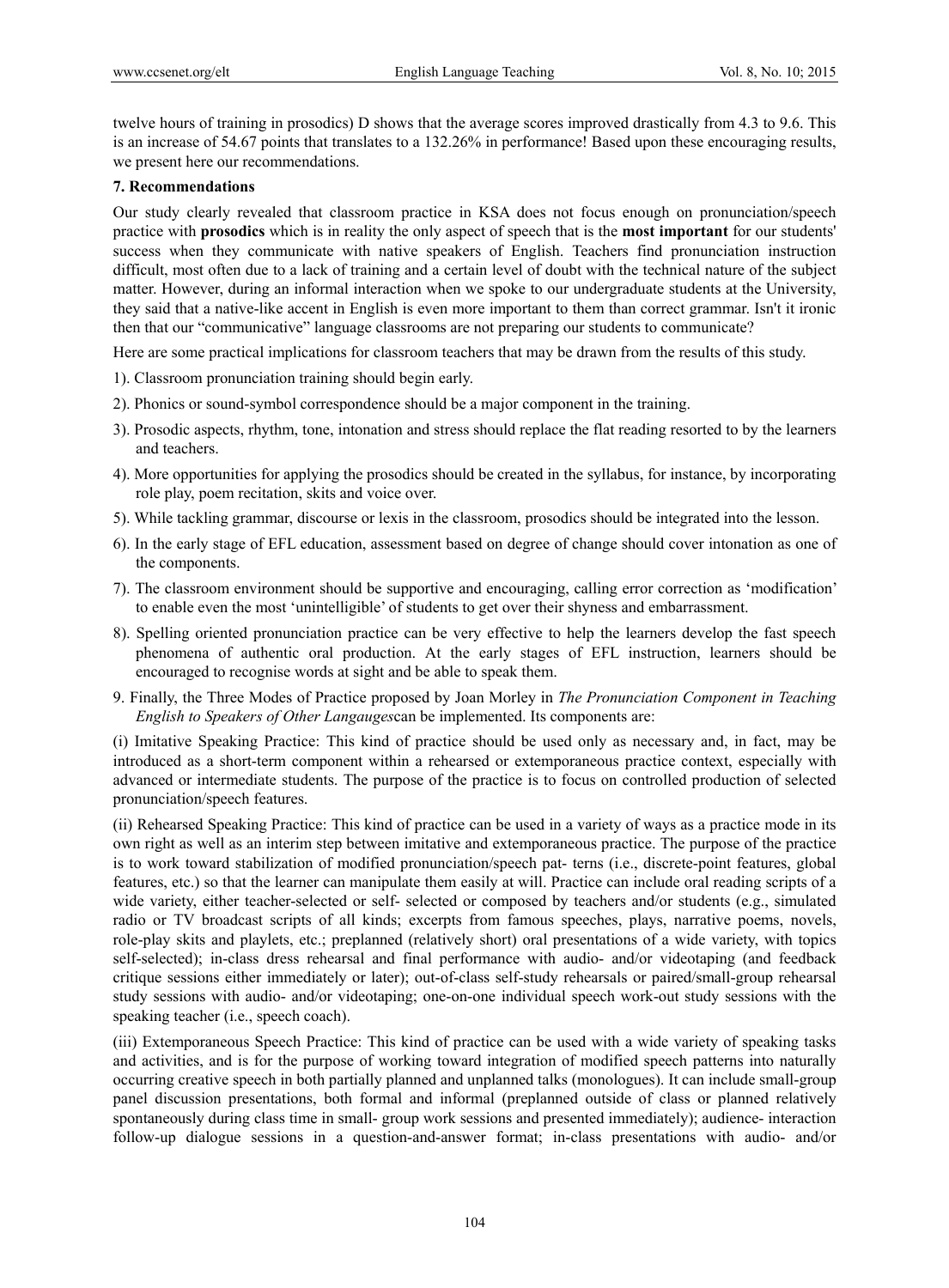twelve hours of training in prosodics) D shows that the average scores improved drastically from 4.3 to 9.6. This is an increase of 54.67 points that translates to a 132.26% in performance! Based upon these encouraging results, we present here our recommendations.

## **7. Recommendations**

Our study clearly revealed that classroom practice in KSA does not focus enough on pronunciation/speech practice with **prosodics** which is in reality the only aspect of speech that is the **most important** for our students' success when they communicate with native speakers of English. Teachers find pronunciation instruction difficult, most often due to a lack of training and a certain level of doubt with the technical nature of the subject matter. However, during an informal interaction when we spoke to our undergraduate students at the University, they said that a native-like accent in English is even more important to them than correct grammar. Isn't it ironic then that our "communicative" language classrooms are not preparing our students to communicate?

Here are some practical implications for classroom teachers that may be drawn from the results of this study.

1). Classroom pronunciation training should begin early.

- 2). Phonics or sound-symbol correspondence should be a major component in the training.
- 3). Prosodic aspects, rhythm, tone, intonation and stress should replace the flat reading resorted to by the learners and teachers.
- 4). More opportunities for applying the prosodics should be created in the syllabus, for instance, by incorporating role play, poem recitation, skits and voice over.
- 5). While tackling grammar, discourse or lexis in the classroom, prosodics should be integrated into the lesson.
- 6). In the early stage of EFL education, assessment based on degree of change should cover intonation as one of the components.
- 7). The classroom environment should be supportive and encouraging, calling error correction as 'modification' to enable even the most 'unintelligible' of students to get over their shyness and embarrassment.
- 8). Spelling oriented pronunciation practice can be very effective to help the learners develop the fast speech phenomena of authentic oral production. At the early stages of EFL instruction, learners should be encouraged to recognise words at sight and be able to speak them.
- 9. Finally, the Three Modes of Practice proposed by Joan Morley in *The Pronunciation Component in Teaching English to Speakers of Other Langauges*can be implemented. Its components are:

(i) Imitative Speaking Practice: This kind of practice should be used only as necessary and, in fact, may be introduced as a short-term component within a rehearsed or extemporaneous practice context, especially with advanced or intermediate students. The purpose of the practice is to focus on controlled production of selected pronunciation/speech features.

(ii) Rehearsed Speaking Practice: This kind of practice can be used in a variety of ways as a practice mode in its own right as well as an interim step between imitative and extemporaneous practice. The purpose of the practice is to work toward stabilization of modified pronunciation/speech pat- terns (i.e., discrete-point features, global features, etc.) so that the learner can manipulate them easily at will. Practice can include oral reading scripts of a wide variety, either teacher-selected or self- selected or composed by teachers and/or students (e.g., simulated radio or TV broadcast scripts of all kinds; excerpts from famous speeches, plays, narrative poems, novels, role-play skits and playlets, etc.; preplanned (relatively short) oral presentations of a wide variety, with topics self-selected); in-class dress rehearsal and final performance with audio- and/or videotaping (and feedback critique sessions either immediately or later); out-of-class self-study rehearsals or paired/small-group rehearsal study sessions with audio- and/or videotaping; one-on-one individual speech work-out study sessions with the speaking teacher (i.e., speech coach).

(iii) Extemporaneous Speech Practice: This kind of practice can be used with a wide variety of speaking tasks and activities, and is for the purpose of working toward integration of modified speech patterns into naturally occurring creative speech in both partially planned and unplanned talks (monologues). It can include small-group panel discussion presentations, both formal and informal (preplanned outside of class or planned relatively spontaneously during class time in small- group work sessions and presented immediately); audience- interaction follow-up dialogue sessions in a question-and-answer format; in-class presentations with audio- and/or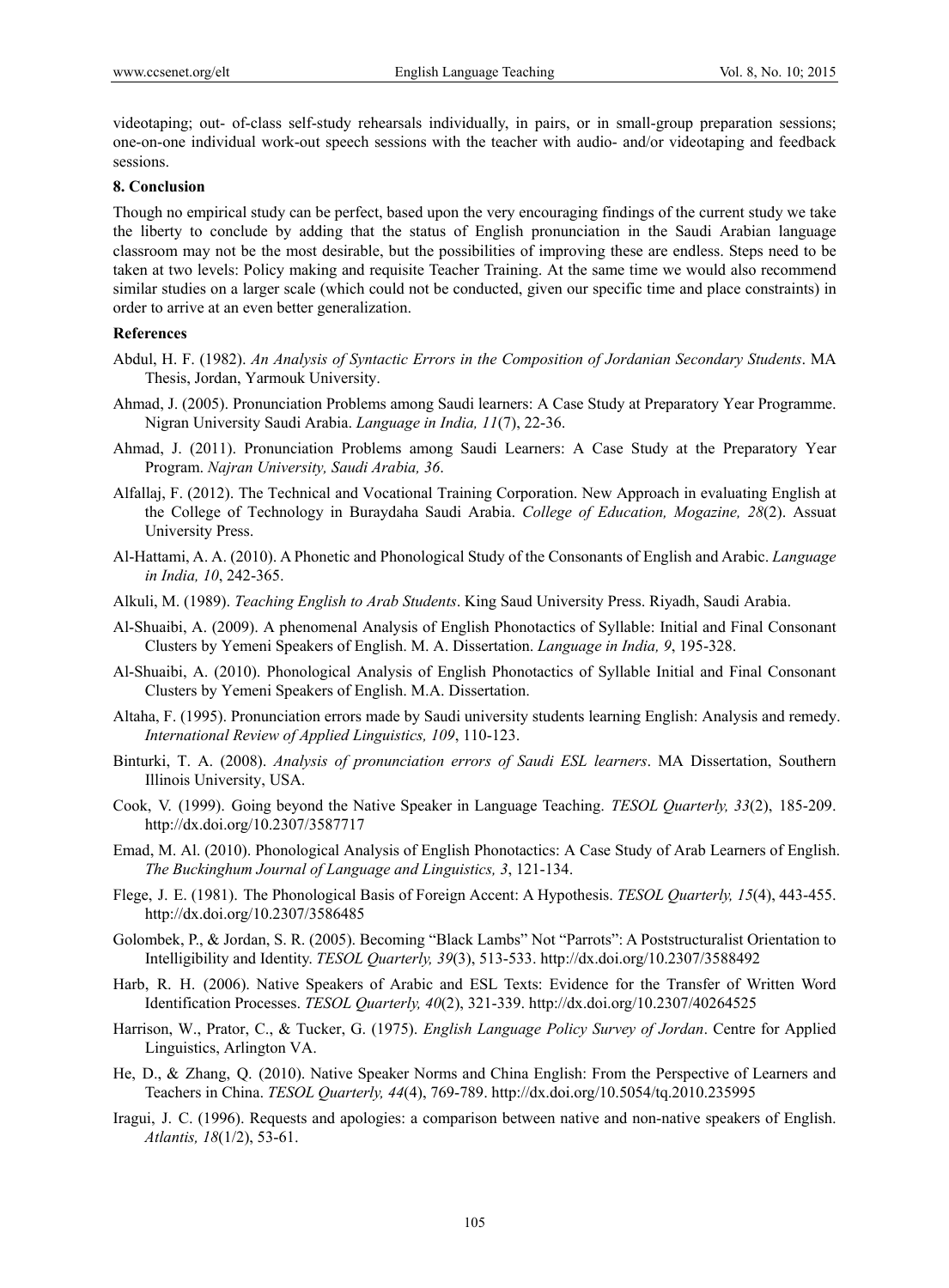videotaping; out- of-class self-study rehearsals individually, in pairs, or in small-group preparation sessions; one-on-one individual work-out speech sessions with the teacher with audio- and/or videotaping and feedback sessions.

## **8. Conclusion**

Though no empirical study can be perfect, based upon the very encouraging findings of the current study we take the liberty to conclude by adding that the status of English pronunciation in the Saudi Arabian language classroom may not be the most desirable, but the possibilities of improving these are endless. Steps need to be taken at two levels: Policy making and requisite Teacher Training. At the same time we would also recommend similar studies on a larger scale (which could not be conducted, given our specific time and place constraints) in order to arrive at an even better generalization.

## **References**

- Abdul, H. F. (1982). *An Analysis of Syntactic Errors in the Composition of Jordanian Secondary Students*. MA Thesis, Jordan, Yarmouk University.
- Ahmad, J. (2005). Pronunciation Problems among Saudi learners: A Case Study at Preparatory Year Programme. Nigran University Saudi Arabia. *Language in India, 11*(7), 22-36.
- Ahmad, J. (2011). Pronunciation Problems among Saudi Learners: A Case Study at the Preparatory Year Program. *Najran University, Saudi Arabia, 36*.
- Alfallaj, F. (2012). The Technical and Vocational Training Corporation. New Approach in evaluating English at the College of Technology in Buraydaha Saudi Arabia. *College of Education, Mogazine, 28*(2). Assuat University Press.
- Al-Hattami, A. A. (2010). A Phonetic and Phonological Study of the Consonants of English and Arabic. *Language in India, 10*, 242-365.
- Alkuli, M. (1989). *Teaching English to Arab Students*. King Saud University Press. Riyadh, Saudi Arabia.
- Al-Shuaibi, A. (2009). A phenomenal Analysis of English Phonotactics of Syllable: Initial and Final Consonant Clusters by Yemeni Speakers of English. M. A. Dissertation. *Language in India, 9*, 195-328.
- Al-Shuaibi, A. (2010). Phonological Analysis of English Phonotactics of Syllable Initial and Final Consonant Clusters by Yemeni Speakers of English. M.A. Dissertation.
- Altaha, F. (1995). Pronunciation errors made by Saudi university students learning English: Analysis and remedy. *International Review of Applied Linguistics, 109*, 110-123.
- Binturki, T. A. (2008). *Analysis of pronunciation errors of Saudi ESL learners*. MA Dissertation, Southern Illinois University, USA.
- Cook, V. (1999). Going beyond the Native Speaker in Language Teaching. *TESOL Quarterly, 33*(2), 185-209. http://dx.doi.org/10.2307/3587717
- Emad, M. Al. (2010). Phonological Analysis of English Phonotactics: A Case Study of Arab Learners of English. *The Buckinghum Journal of Language and Linguistics, 3*, 121-134.
- Flege, J. E. (1981). The Phonological Basis of Foreign Accent: A Hypothesis. *TESOL Quarterly, 15*(4), 443-455. http://dx.doi.org/10.2307/3586485
- Golombek, P., & Jordan, S. R. (2005). Becoming "Black Lambs" Not "Parrots": A Poststructuralist Orientation to Intelligibility and Identity. *TESOL Quarterly, 39*(3), 513-533. http://dx.doi.org/10.2307/3588492
- Harb, R. H. (2006). Native Speakers of Arabic and ESL Texts: Evidence for the Transfer of Written Word Identification Processes. *TESOL Quarterly, 40*(2), 321-339. http://dx.doi.org/10.2307/40264525
- Harrison, W., Prator, C., & Tucker, G. (1975). *English Language Policy Survey of Jordan*. Centre for Applied Linguistics, Arlington VA.
- He, D., & Zhang, Q. (2010). Native Speaker Norms and China English: From the Perspective of Learners and Teachers in China. *TESOL Quarterly, 44*(4), 769-789. http://dx.doi.org/10.5054/tq.2010.235995
- Iragui, J. C. (1996). Requests and apologies: a comparison between native and non-native speakers of English. *Atlantis, 18*(1/2), 53-61.